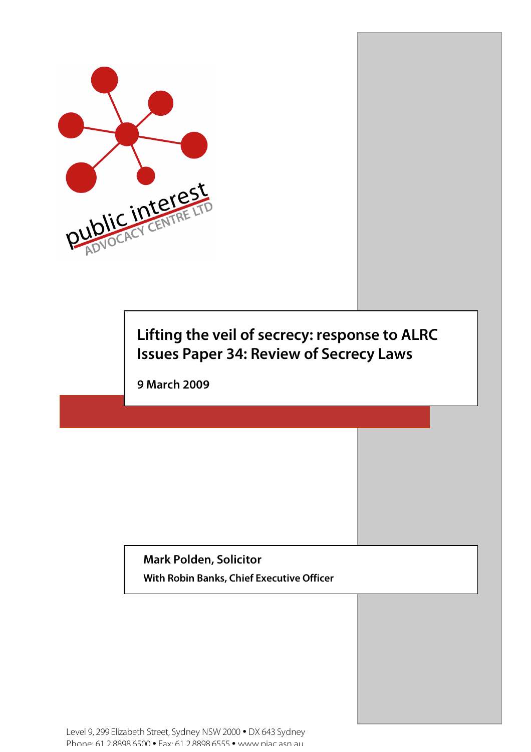

# **Lifting the veil of secrecy: response to ALRC Issues Paper 34: Review of Secrecy Laws**

**9 March 2009**

**Mark Polden, Solicitor With Robin Banks, Chief Executive Officer**

Level 9, 299 Elizabeth Street, Sydney NSW 2000 • DX 643 Sydney Phone: 61 2 8898 6500 • Fax: 61 2 8898 6555 • www.piac.asn.au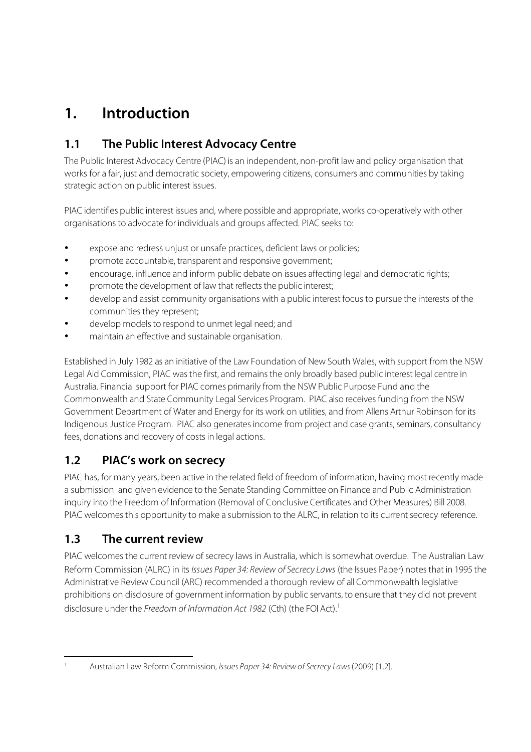## **1. Introduction**

## **1.1 The Public Interest Advocacy Centre**

The Public Interest Advocacy Centre (PIAC) is an independent, non-profit law and policy organisation that works for a fair, just and democratic society, empowering citizens, consumers and communities by taking strategic action on public interest issues.

PIAC identifies public interest issues and, where possible and appropriate, works co-operatively with other organisations to advocate for individuals and groups affected. PIAC seeks to:

- expose and redress unjust or unsafe practices, deficient laws or policies;
- promote accountable, transparent and responsive government;
- encourage, influence and inform public debate on issues affecting legal and democratic rights;
- promote the development of law that reflects the public interest;
- develop and assist community organisations with a public interest focus to pursue the interests of the communities they represent;
- develop models to respond to unmet legal need; and
- maintain an effective and sustainable organisation.

Established in July 1982 as an initiative of the Law Foundation of New South Wales, with support from the NSW Legal Aid Commission, PIAC was the first, and remains the only broadly based public interest legal centre in Australia. Financial support for PIAC comes primarily from the NSW Public Purpose Fund and the Commonwealth and State Community Legal Services Program. PIAC also receives funding from the NSW Government Department of Water and Energy for its work on utilities, and from Allens Arthur Robinson for its Indigenous Justice Program. PIAC also generatesincome from project and case grants, seminars, consultancy fees, donations and recovery of costs in legal actions.

### **1.2 PIAC's work on secrecy**

PIAC has, for many years, been active in the related field of freedom of information, having most recently made a submission and given evidence to the Senate Standing Committee on Finance and Public Administration inquiry into the Freedom of Information (Removal of Conclusive Certificates and Other Measures) Bill 2008. PIAC welcomes this opportunity to make a submission to the ALRC, in relation to its current secrecy reference.

#### **1.3 The current review**

PIAC welcomes the current review of secrecy laws in Australia, which is somewhat overdue. The Australian Law Reform Commission (ALRC) in its Issues Paper 34: Review of Secrecy Laws (the Issues Paper) notes that in 1995 the Administrative Review Council (ARC) recommended a thorough review of all Commonwealth legislative prohibitions on disclosure of government information by public servants, to ensure that they did not prevent disclosure under the Freedom of Information Act 1982 (Cth) (the FOI Act).<sup>1</sup>

Australian Law Reform Commission, Issues Paper 34: Review of Secrecy Laws (2009) [1.2].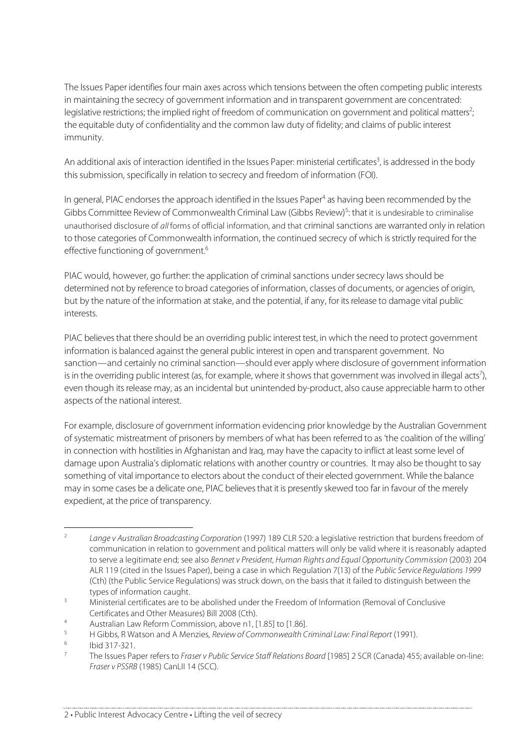The Issues Paper identifies four main axes across which tensions between the often competing public interests in maintaining the secrecy of government information and in transparent government are concentrated: legislative restrictions; the implied right of freedom of communication on government and political matters<sup>2</sup> ; the equitable duty of confidentiality and the common law duty of fidelity; and claims of public interest immunity.

An additional axis of interaction identified in the Issues Paper: ministerial certificates<sup>3</sup>, is addressed in the body thissubmission, specifically in relation to secrecy and freedom of information (FOI).

In general, PIAC endorses the approach identified in the Issues Paper<sup>4</sup> as having been recommended by the Gibbs Committee Review of Commonwealth Criminal Law (Gibbs Review)<sup>5</sup>: that it is undesirable to criminalise unauthorised disclosure of all forms of official information, and that criminal sanctions are warranted only in relation to those categories of Commonwealth information, the continued secrecy of which is strictly required for the effective functioning of government. 6

PIAC would, however, go further: the application of criminal sanctions under secrecy laws should be determined not by reference to broad categories of information, classes of documents, or agencies of origin, but by the nature of the information at stake, and the potential, if any, for its release to damage vital public interests.

PIAC believes that there should be an overriding public interest test, in which the need to protect government information is balanced against the general public interest in open and transparent government. No sanction—and certainly no criminal sanction—should ever apply where disclosure of government information is in the overriding public interest (as, for example, where it shows that government was involved in illegal acts<sup>7</sup>), even though its release may, as an incidental but unintended by-product, also cause appreciable harm to other aspects of the national interest.

For example, disclosure of government information evidencing prior knowledge by the Australian Government of systematic mistreatment of prisoners by members of what has been referred to as 'the coalition of the willing' in connection with hostilities in Afghanistan and Irag, may have the capacity to inflict at least some level of damage upon Australia's diplomatic relations with another country or countries. It may also be thought to say something of vital importance to electors about the conduct of their elected government. While the balance may in some cases be a delicate one, PIAC believesthat it is presently skewed too far in favour of the merely expedient, at the price of transparency.

<sup>&</sup>lt;sup>2</sup> Lange v Australian Broadcasting Corporation (1997) 189 CLR 520: a legislative restriction that burdens freedom of communication in relation to government and political matters will only be valid where it is reasonably adapted to serve a legitimate end; see also Bennet v President, Human Rights and Equal Opportunity Commission (2003) 204 ALR 119 (cited in the Issues Paper), being a case in which Regulation 7(13) of the Public Service Regulations 1999 (Cth) (the Public Service Regulations) was struck down, on the basis that it failed to distinguish between the types of information caught.

 $\frac{3}{3}$  Ministerial certificates are to be abolished under the Freedom of Information (Removal of Conclusive Certificates and Other Measures) Bill 2008 (Cth).

<sup>4</sup> Australian Law Reform Commission, above n1, [1.85] to [1.86].<br>11 Cibbe, B. Watson and A. Mongies, *Paviaus Commonwealth Car* 

<sup>&</sup>lt;sup>5</sup> H Gibbs, R Watson and A Menzies, Review of Commonwealth Criminal Law: Final Report (1991).

 $\frac{6}{7}$  Ibid 317-321.

The Issues Paper refers to Fraser v Public Service Staff Relations Board [1985] 2 SCR (Canada) 455; available on-line: Fraser v PSSRB (1985) CanLII 14 (SCC).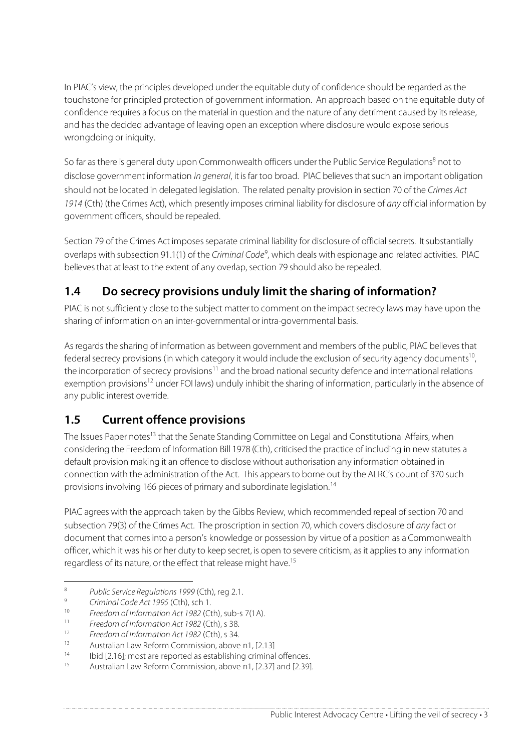In PIAC's view, the principles developed under the equitable duty of confidence should be regarded asthe touchstone for principled protection of government information. An approach based on the equitable duty of confidence requires a focus on the material in question and the nature of any detriment caused by its release, and has the decided advantage of leaving open an exception where disclosure would expose serious wrongdoing or iniquity.

So far as there is general duty upon Commonwealth officers under the Public Service Regulations<sup>8</sup> not to disclose government information in general, it is far too broad. PIAC believes that such an important obligation should not be located in delegated legislation. The related penalty provision in section 70 of the Crimes Act 1914 (Cth) (the Crimes Act), which presently imposes criminal liability for disclosure of any official information by government officers, should be repealed.

Section 79 of the Crimes Act imposes separate criminal liability for disclosure of official secrets. It substantially overlaps with subsection 91.1(1) of the Criminal Code<sup>9</sup>, which deals with espionage and related activities. PIAC believesthat at least to the extent of any overlap, section 79 should also be repealed.

## **1.4 Do secrecy provisions unduly limit the sharing of information?**

PIAC is not sufficiently close to the subject matter to comment on the impact secrecy laws may have upon the sharing of information on an inter-governmental or intra-governmental basis.

Asregards the sharing of information as between government and members of the public, PIAC believesthat federal secrecy provisions (in which category it would include the exclusion of security agency documents<sup>10</sup> , the incorporation of secrecy provisions<sup>11</sup> and the broad national security defence and international relations exemption provisions<sup>12</sup> under FOI laws) unduly inhibit the sharing of information, particularly in the absence of any public interest override.

### **1.5 Current offence provisions**

The Issues Paper notes<sup>13</sup> that the Senate Standing Committee on Legal and Constitutional Affairs, when considering the Freedom of Information Bill 1978 (Cth), criticised the practice of including in new statutes a default provision making it an offence to disclose without authorisation any information obtained in connection with the administration of the Act. This appearsto borne out by the ALRC's count of 370 such provisions involving 166 pieces of primary and subordinate legislation. 14

PIAC agrees with the approach taken by the Gibbs Review, which recommended repeal of section 70 and subsection 79(3) of the Crimes Act. The proscription in section 70, which covers disclosure of any fact or document that comesinto a person's knowledge or possession by virtue of a position as a Commonwealth officer, which it was his or her duty to keep secret, is open to severe criticism, asit appliesto any information regardless of its nature, or the effect that release might have.<sup>15</sup>

<sup>&</sup>lt;sup>8</sup> Public Service Regulations 1999 (Cth), reg 2.1.

<sup>9</sup> Criminal Code Act 1995 (Cth), sch 1.<br> $\frac{10}{2}$  Execters of Information Act 1993 (Ct

<sup>&</sup>lt;sup>10</sup> Freedom of Information Act 1982 (Cth), sub-s 7(1A).<br><sup>11</sup> Freedom of Information Act 1982 (Cth), s. <sup>29</sup>

<sup>&</sup>lt;sup>11</sup> Freedom of Information Act 1982 (Cth), s 38.<br> $I^2 = \frac{24}{3}$ 

<sup>&</sup>lt;sup>12</sup> Freedom of Information Act 1982 (Cth), s 34.

<sup>13</sup> Australian Law Reform Commission, above n1,  $[2.13]$ <br>14 Ibid  $[2.16]$  meet are reported as attablishing eximinal

<sup>&</sup>lt;sup>14</sup> Ibid [2.16]; most are reported as establishing criminal offences.<br> $\frac{15}{2}$  Australian Law Referre Commission, above a 1, [3.27] and [3.28]

Australian Law Reform Commission, above n1, [2.37] and [2.39].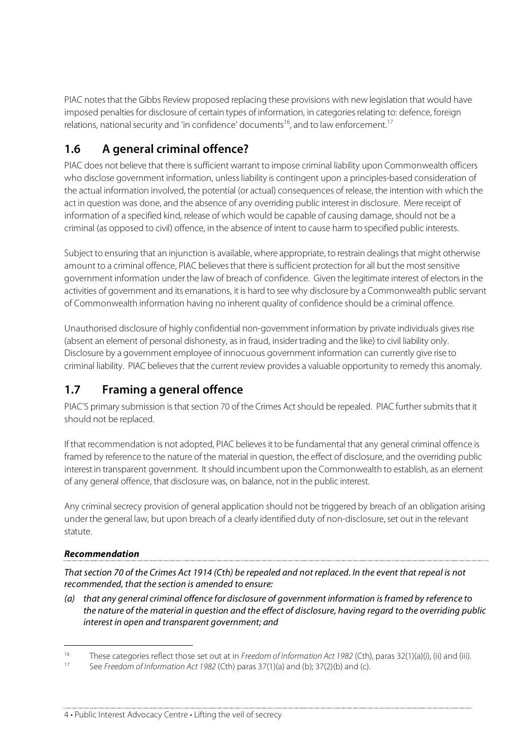PIAC notes that the Gibbs Review proposed replacing these provisions with new legislation that would have imposed penalties for disclosure of certain types of information, in categories relating to: defence, foreign relations, national security and 'in confidence' documents<sup>16</sup>, and to law enforcement.<sup>17</sup>

## **1.6 A general criminal offence?**

PIAC does not believe that there issufficient warrant to impose criminal liability upon Commonwealth officers who disclose government information, unlessliability is contingent upon a principles-based consideration of the actual information involved, the potential (or actual) consequences of release, the intention with which the act in question was done, and the absence of any overriding public interest in disclosure. Mere receipt of information of a specified kind, release of which would be capable of causing damage, should not be a criminal (as opposed to civil) offence, in the absence of intent to cause harm to specified public interests.

Subject to ensuring that an injunction is available, where appropriate, to restrain dealings that might otherwise amount to a criminal offence, PIAC believes that there is sufficient protection for all but the most sensitive government information under the law of breach of confidence. Given the legitimate interest of electorsin the activities of government and its emanations, it is hard to see why disclosure by a Commonwealth public servant of Commonwealth information having no inherent quality of confidence should be a criminal offence.

Unauthorised disclosure of highly confidential non-government information by private individuals gives rise (absent an element of personal dishonesty, asin fraud, insidertrading and the like) to civil liability only. Disclosure by a government employee of innocuous government information can currently give rise to criminal liability. PIAC believes that the current review provides a valuable opportunity to remedy this anomaly.

### **1.7 Framing a general offence**

PIAC'S primary submission is that section 70 of the Crimes Act should be repealed. PIAC further submits that it should not be replaced.

If that recommendation is not adopted, PIAC believes it to be fundamental that any general criminal offence is framed by reference to the nature of the material in question, the effect of disclosure, and the overriding public interest in transparent government. It should incumbent upon the Commonwealth to establish, as an element of any general offence, that disclosure was, on balance, not in the public interest.

Any criminal secrecy provision of general application should not be triggered by breach of an obligation arising under the general law, but upon breach of a clearly identified duty of non-disclosure, set out in the relevant statute.

#### **Recommendation**

That section 70 of the Crimes Act 1914 (Cth) be repealed and not replaced. In the event that repeal is not recommended, that the section is amended to ensure:

(a) that any general criminal offence for disclosure of government information isframed by reference to the nature of the material in question and the effect of disclosure, having regard to the overriding public interest in open and transparent government; and

4 • Public Interest Advocacy Centre • Lifting the veil of secrecy

<sup>16</sup> These categories reflect those set out at in Freedom of Information Act 1982 (Cth), paras 32(1)(a)(i), (ii) and (iii).

See Freedom of Information Act 1982 (Cth) paras 37(1)(a) and (b); 37(2)(b) and (c).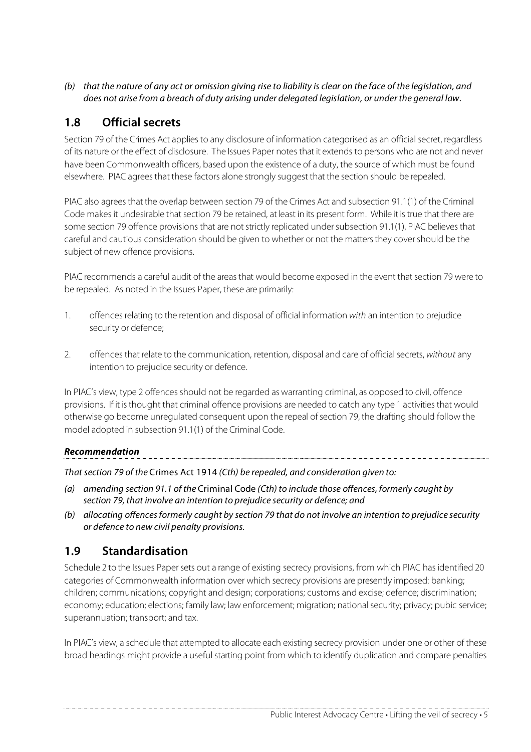(b) that the nature of any act or omission giving rise to liability is clear on the face of the legislation, and does not arise from a breach of duty arising under delegated legislation, or under the general law.

#### **1.8 Official secrets**

Section 79 of the Crimes Act applies to any disclosure of information categorised as an official secret, regardless of its nature or the effect of disclosure. The Issues Paper notesthat it extends to persons who are not and never have been Commonwealth officers, based upon the existence of a duty, the source of which must be found elsewhere. PIAC agreesthat these factors alone strongly suggest that the section should be repealed.

PIAC also agreesthat the overlap between section 79 of the Crimes Act and subsection 91.1(1) of the Criminal Code makes it undesirable that section 79 be retained, at least in its present form. While it is true that there are some section 79 offence provisions that are not strictly replicated under subsection 91.1(1), PIAC believes that careful and cautious consideration should be given to whether or not the matters they cover should be the subject of new offence provisions.

PIAC recommends a careful audit of the areas that would become exposed in the event that section 79 were to be repealed. As noted in the Issues Paper, these are primarily:

- 1. offences relating to the retention and disposal of official information with an intention to prejudice security or defence;
- 2. offences that relate to the communication, retention, disposal and care of official secrets, without any intention to prejudice security or defence.

In PIAC's view, type 2 offences should not be regarded as warranting criminal, as opposed to civil, offence provisions. If it is thought that criminal offence provisions are needed to catch any type 1 activities that would otherwise go become unregulated consequent upon the repeal of section 79, the drafting should follow the model adopted in subsection 91.1(1) of the Criminal Code.

#### **Recommendation**

That section 79 of the Crimes Act 1914 (Cth) be repealed, and consideration given to:

- (a) amending section 91.1 of the Criminal Code (Cth) to include those offences, formerly caught by section 79, that involve an intention to prejudice security or defence; and
- (b) allocating offences formerly caught by section 79 that do not involve an intention to prejudice security or defence to new civil penalty provisions.

#### **1.9 Standardisation**

Schedule 2 to the Issues Paper sets out a range of existing secrecy provisions, from which PIAC has identified 20 categories of Commonwealth information over which secrecy provisions are presently imposed: banking; children; communications; copyright and design; corporations; customs and excise; defence; discrimination; economy; education; elections; family law; law enforcement; migration; national security; privacy; pubic service; superannuation; transport; and tax.

In PIAC's view, a schedule that attempted to allocate each existing secrecy provision under one or other of these broad headings might provide a useful starting point from which to identify duplication and compare penalties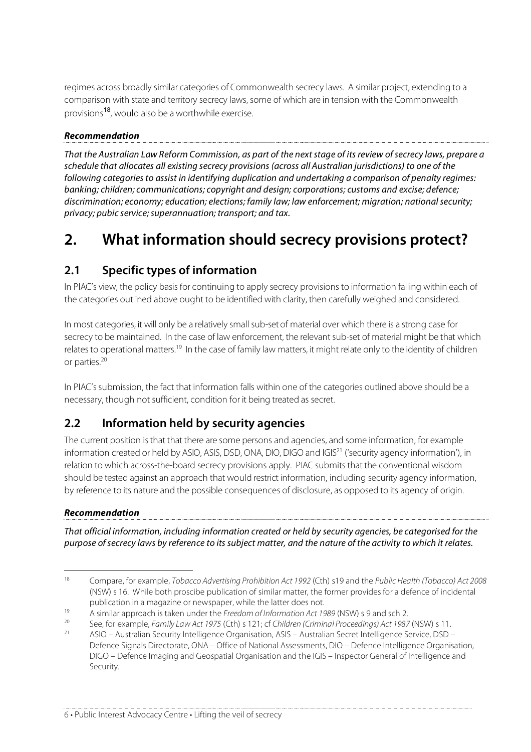regimes across broadly similar categories of Commonwealth secrecy laws. A similar project, extending to a comparison with state and territory secrecy laws, some of which are in tension with the Commonwealth provisions 18 , would also be a worthwhile exercise.

#### **Recommendation**

That the Australian Law Reform Commission, as part of the next stage of its review of secrecy laws, prepare a schedule that allocates all existing secrecy provisions (across all Australian jurisdictions) to one of the following categories to assist in identifying duplication and undertaking a comparison of penalty regimes: banking; children; communications; copyright and design; corporations; customs and excise; defence; discrimination; economy; education; elections; family law; law enforcement; migration; national security; privacy; pubic service; superannuation; transport; and tax.

## **2. What information should secrecy provisions protect?**

### **2.1 Specific types of information**

In PIAC's view, the policy basis for continuing to apply secrecy provisions to information falling within each of the categories outlined above ought to be identified with clarity, then carefully weighed and considered.

In most categories, it will only be a relatively small sub-set of material over which there is a strong case for secrecy to be maintained. In the case of law enforcement, the relevant sub-set of material might be that which relates to operational matters.<sup>19</sup> In the case of family law matters, it might relate only to the identity of children or parties. 20

In PIAC's submission, the fact that information falls within one of the categories outlined above should be a necessary, though not sufficient, condition for it being treated as secret.

### **2.2 Information held by security agencies**

The current position isthat that there are some persons and agencies, and some information, for example information created or held by ASIO, ASIS, DSD, ONA, DIO, DIGO and IGIS<sup>21</sup> ('security agency information'), in relation to which across-the-board secrecy provisions apply. PIAC submits that the conventional wisdom should be tested against an approach that would restrict information, including security agency information, by reference to its nature and the possible consequences of disclosure, as opposed to its agency of origin.

#### **Recommendation**

That official information, including information created or held by security agencies, be categorised for the purpose ofsecrecy laws by reference to its subject matter, and the nature of the activity to which it relates.

<sup>&</sup>lt;sup>18</sup> Compare, for example, *Tobacco Advertising Prohibition Act 1992* (Cth) s19 and the Public Health (Tobacco) Act 2008 (NSW) s 16. While both proscibe publication of similar matter, the former provides for a defence of incidental publication in a magazine or newspaper, while the latter does not.

<sup>19</sup> A similar approach is taken under the Freedom of Information Act 1989 (NSW) s 9 and sch 2.<br>20 See for example Family Law Act 1975 (Ctb) s 121: of Children (Criminal Proceedings) Act 1987

<sup>&</sup>lt;sup>20</sup> See, for example, Family Law Act 1975 (Cth) s 121; cf Children (Criminal Proceedings) Act 1987 (NSW) s 11.<br>21 ASIO Australian Security Intelligence Organisation ASIS Australian Secret Intelligence Sensice DSD.

<sup>21</sup> ASIO – Australian Security Intelligence Organisation, ASIS – Australian Secret Intelligence Service, DSD – Defence Signals Directorate, ONA – Office of National Assessments, DIO – Defence Intelligence Organisation, DIGO – Defence Imaging and Geospatial Organisation and the IGIS – Inspector General of Intelligence and Security.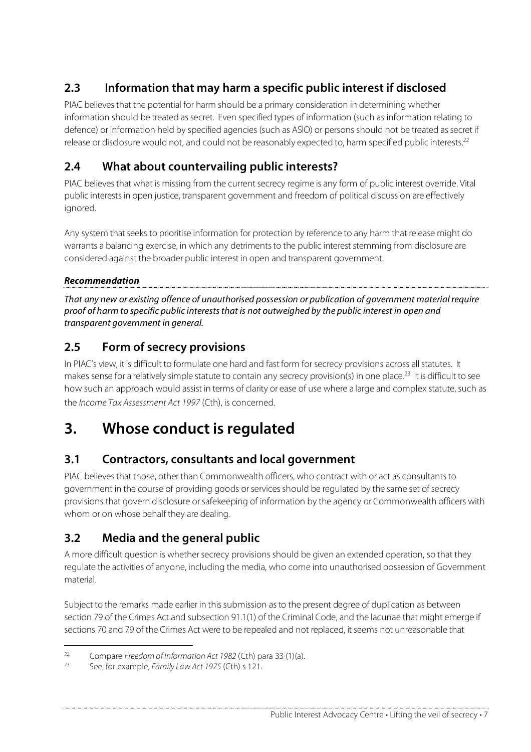## **2.3 Information that may harm a specific public interest if disclosed**

PIAC believesthat the potential for harm should be a primary consideration in determining whether information should be treated assecret. Even specified types of information (such as information relating to defence) or information held by specified agencies (such as ASIO) or persons should not be treated assecret if release or disclosure would not, and could not be reasonably expected to, harm specified public interests.<sup>22</sup>

## **2.4 What about countervailing public interests?**

PIAC believes that what is missing from the current secrecy regime is any form of public interest override. Vital public interestsin open justice, transparent government and freedom of political discussion are effectively ignored.

Any system that seeks to prioritise information for protection by reference to any harm that release might do warrants a balancing exercise, in which any detriments to the public interest stemming from disclosure are considered against the broader public interest in open and transparent government.

#### **Recommendation**

That any new or existing offence of unauthorised possession or publication of government material require proof of harm to specific public intereststhat is not outweighed by the public interest in open and transparent government in general.

## **2.5 Form of secrecy provisions**

In PIAC's view, it is difficult to formulate one hard and fast form for secrecy provisions across all statutes. It makes sense for a relatively simple statute to contain any secrecy provision(s) in one place.<sup>23</sup> It is difficult to see how such an approach would assist in terms of clarity or ease of use where a large and complex statute, such as the Income Tax Assessment Act 1997 (Cth), is concerned.

## **3. Whose conduct is regulated**

### **3.1 Contractors, consultants and local government**

PIAC believes that those, other than Commonwealth officers, who contract with or act as consultants to government in the course of providing goods orservicesshould be regulated by the same set ofsecrecy provisions that govern disclosure orsafekeeping of information by the agency or Commonwealth officers with whom or on whose behalf they are dealing.

### **3.2 Media and the general public**

A more difficult question is whether secrecy provisions should be given an extended operation, so that they regulate the activities of anyone, including the media, who come into unauthorised possession of Government material.

Subject to the remarks made earlier in this submission as to the present degree of duplication as between section 79 of the Crimes Act and subsection 91.1(1) of the Criminal Code, and the lacunae that might emerge if sections 70 and 79 of the Crimes Act were to be repealed and not replaced, it seems not unreasonable that

<sup>&</sup>lt;sup>22</sup> Compare Freedom of Information Act 1982 (Cth) para 33 (1)(a).

See, for example, Family Law Act 1975 (Cth) s 121.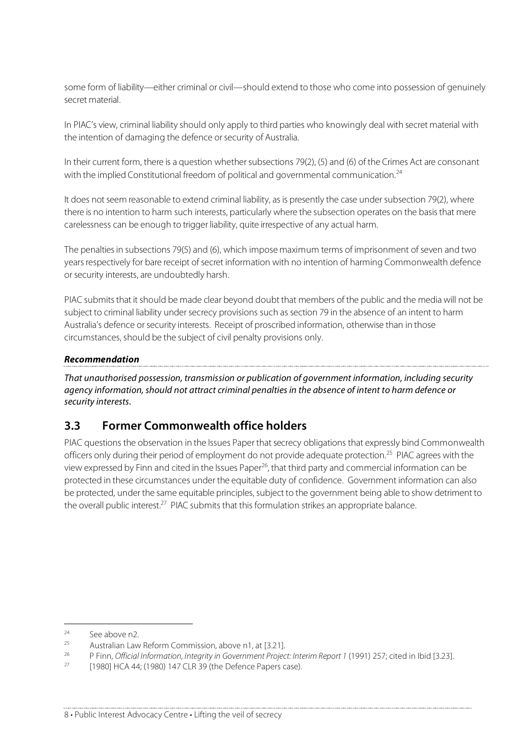some form of liability—either criminal or civil—should extend to those who come into possession of genuinely secret material.

In PIAC's view, criminal liability should only apply to third parties who knowingly deal with secret material with the intention of damaging the defence or security of Australia.

In their current form, there is a question whether subsections 79(2), (5) and (6) of the Crimes Act are consonant with the implied Constitutional freedom of political and governmental communication.<sup>24</sup>

It does not seem reasonable to extend criminal liability, as is presently the case under subsection 79(2), where there is no intention to harm such interests, particularly where the subsection operates on the basisthat mere carelessness can be enough to trigger liability, quite irrespective of any actual harm.

The penalties in subsections 79(5) and (6), which impose maximum terms of imprisonment of seven and two years respectively for bare receipt of secret information with no intention of harming Commonwealth defence or security interests, are undoubtedly harsh.

PIAC submits that it should be made clear beyond doubt that members of the public and the media will not be subject to criminal liability under secrecy provisions such as section 79 in the absence of an intent to harm Australia's defence or security interests. Receipt of proscribed information, otherwise than in those circumstances, should be the subject of civil penalty provisions only.

#### **Recommendation**

That unauthorised possession, transmission or publication of government information, including security agency information, should not attract criminal penalties in the absence of intent to harm defence or security interests.

#### **3.3 Former Commonwealth office holders**

PIAC questions the observation in the Issues Paper that secrecy obligations that expressly bind Commonwealth officers only during their period of employment do not provide adequate protection. <sup>25</sup> PIAC agrees with the view expressed by Finn and cited in the Issues Paper<sup>26</sup>, that third party and commercial information can be protected in these circumstances under the equitable duty of confidence. Government information can also be protected, under the same equitable principles, subject to the government being able to show detriment to the overall public interest.<sup>27</sup> PIAC submits that this formulation strikes an appropriate balance.

 $24$  See above n2.

<sup>&</sup>lt;sup>25</sup> Australian Law Reform Commission, above n1, at [3.21].

<sup>&</sup>lt;sup>26</sup> P Finn, Official Information, Integrity in Government Project: Interim Report 1 (1991) 257; cited in Ibid [3.23].

<sup>[1980]</sup> HCA 44; (1980) 147 CLR 39 (the Defence Papers case).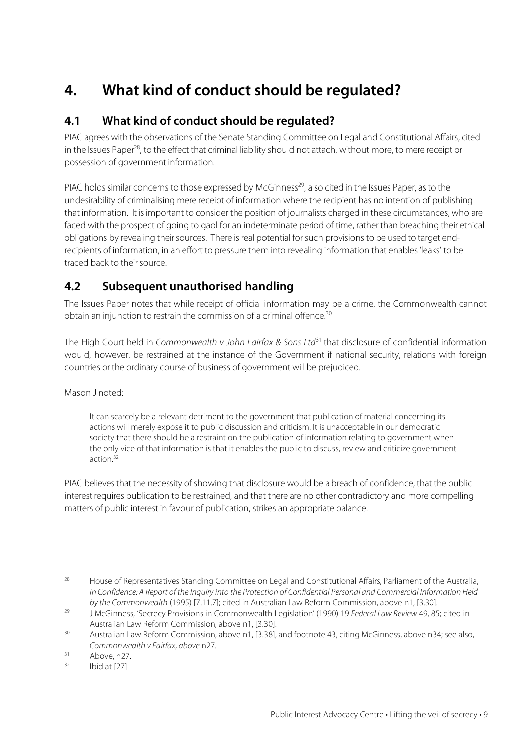# **4. What kind of conduct should be regulated?**

#### **4.1 What kind of conduct should be regulated?**

PIAC agrees with the observations of the Senate Standing Committee on Legal and Constitutional Affairs, cited in the Issues Paper<sup>28</sup>, to the effect that criminal liability should not attach, without more, to mere receipt or possession of government information.

PIAC holds similar concerns to those expressed by McGinness<sup>29</sup>, also cited in the Issues Paper, as to the undesirability of criminalising mere receipt of information where the recipient has no intention of publishing that information. It isimportant to consider the position of journalists charged in these circumstances, who are faced with the prospect of going to gaol for an indeterminate period of time, rather than breaching their ethical obligations by revealing their sources. There is real potential for such provisions to be used to target endrecipients of information, in an effort to pressure them into revealing information that enables'leaks' to be traced back to their source.

### **4.2 Subsequent unauthorised handling**

The Issues Paper notes that while receipt of official information may be a crime, the Commonwealth cannot obtain an injunction to restrain the commission of a criminal offence.<sup>30</sup>

The High Court held in Commonwealth v John Fairfax & Sons Ltd<sup>31</sup> that disclosure of confidential information would, however, be restrained at the instance of the Government if national security, relations with foreign countries or the ordinary course of business of government will be prejudiced.

Mason J noted:

It can scarcely be a relevant detriment to the government that publication of material concerning its actions will merely expose it to public discussion and criticism. It is unacceptable in our democratic society that there should be a restraint on the publication of information relating to government when the only vice of that information is that it enables the public to discuss, review and criticize government action. 32

PIAC believes that the necessity of showing that disclosure would be a breach of confidence, that the public interest requires publication to be restrained, and that there are no other contradictory and more compelling matters of public interest in favour of publication, strikes an appropriate balance.

<sup>&</sup>lt;sup>28</sup> House of Representatives Standing Committee on Legal and Constitutional Affairs, Parliament of the Australia, In Confidence: A Report of the Inquiry into the Protection of Confidential Personal and Commercial Information Held by the Commonwealth (1995) [7.11.7]; cited in Australian Law Reform Commission, above n1, [3.30].

<sup>&</sup>lt;sup>29</sup> J McGinness, 'Secrecy Provisions in Commonwealth Legislation' (1990) 19 Federal Law Review 49, 85; cited in Australian Law Reform Commission, above n1, [3.30].

<sup>30</sup> Australian Law Reform Commission, above n1, [3.38], and footnote 43, citing McGinness, above n34; see also, Commonwealth v Fairfax, above n27.

 $31$  Above, n27.

Ibid at [27]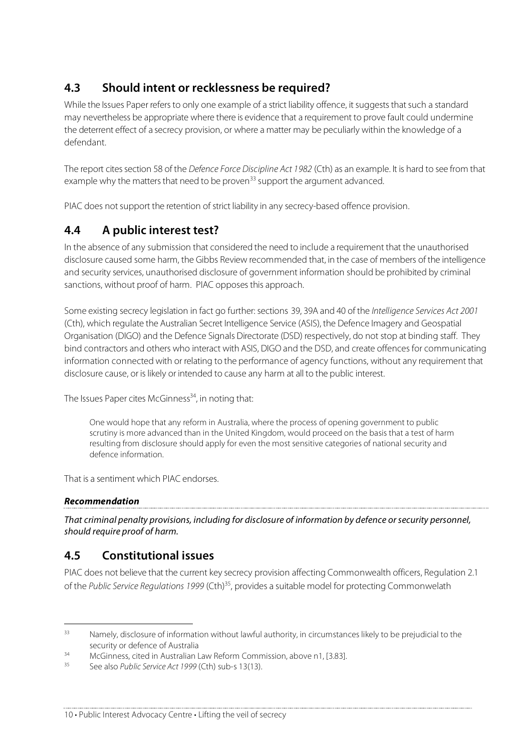## **4.3 Should intent or recklessness be required?**

While the Issues Paper refers to only one example of a strict liability offence, it suggests that such a standard may nevertheless be appropriate where there is evidence that a requirement to prove fault could undermine the deterrent effect of a secrecy provision, or where a matter may be peculiarly within the knowledge of a defendant.

The report cites section 58 of the Defence Force Discipline Act 1982 (Cth) as an example. It is hard to see from that example why the matters that need to be proven<sup>33</sup> support the argument advanced.

PIAC does not support the retention of strict liability in any secrecy-based offence provision.

#### **4.4 A public interest test?**

In the absence of any submission that considered the need to include a requirement that the unauthorised disclosure caused some harm, the Gibbs Review recommended that, in the case of members of the intelligence and security services, unauthorised disclosure of government information should be prohibited by criminal sanctions, without proof of harm. PIAC opposes this approach.

Some existing secrecy legislation in fact go further: sections 39, 39A and 40 of the Intelligence Services Act 2001 (Cth), which regulate the Australian Secret Intelligence Service (ASIS), the Defence Imagery and Geospatial Organisation (DIGO) and the Defence Signals Directorate (DSD) respectively, do not stop at binding staff. They bind contractors and others who interact with ASIS, DIGO and the DSD, and create offences for communicating information connected with or relating to the performance of agency functions, without any requirement that disclosure cause, or islikely or intended to cause any harm at all to the public interest.

The Issues Paper cites McGinness 34 , in noting that:

One would hope that any reform in Australia, where the process of opening government to public scrutiny is more advanced than in the United Kingdom, would proceed on the basis that a test of harm resulting from disclosure should apply for even the most sensitive categories of national security and defence information.

That is a sentiment which PIAC endorses.

#### **Recommendation**

That criminal penalty provisions, including for disclosure of information by defence orsecurity personnel, should require proof of harm.

#### **4.5 Constitutional issues**

PIAC does not believe that the current key secrecy provision affecting Commonwealth officers, Regulation 2.1 of the Public Service Regulations 1999 (Cth)<sup>35</sup>, provides a suitable model for protecting Commonwelath

<sup>&</sup>lt;sup>33</sup> Namely, disclosure of information without lawful authority, in circumstances likely to be prejudicial to the security or defence of Australia

 $34$  McGinness, cited in Australian Law Reform Commission, above n1, [3.83].

See also Public Service Act 1999 (Cth) sub-s 13(13).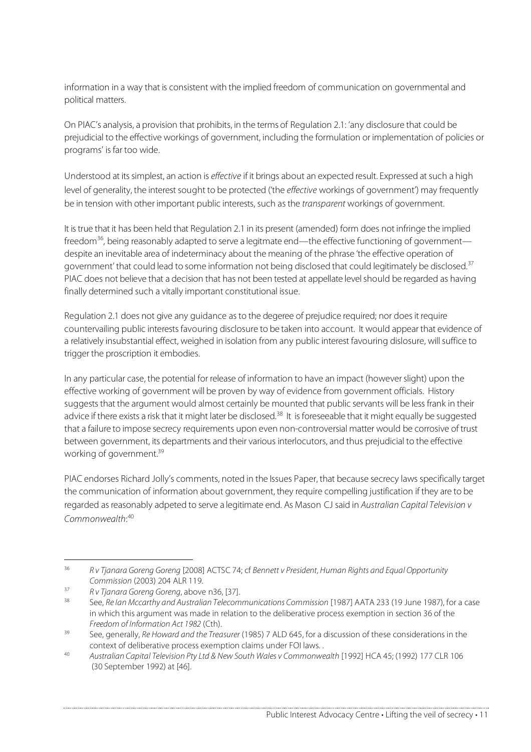information in a way that is consistent with the implied freedom of communication on governmental and political matters.

On PIAC's analysis, a provision that prohibits, in the terms of Regulation 2.1: 'any disclosure that could be prejudicial to the effective workings of government, including the formulation or implementation of policies or programs' is far too wide.

Understood at its simplest, an action is effective if it brings about an expected result. Expressed at such a high level of generality, the interest sought to be protected ('the effective workings of government') may frequently be in tension with other important public interests, such as the *transparent* workings of government.

It istrue that it has been held that Regulation 2.1 in its present (amended) form does not infringe the implied freedom<sup>36</sup>, being reasonably adapted to serve a legitmate end—the effective functioning of government despite an inevitable area of indeterminacy about the meaning of the phrase 'the effective operation of government' that could lead to some information not being disclosed that could legitimately be disclosed.<sup>37</sup> PIAC does not believe that a decision that has not been tested at appellate levelshould be regarded as having finally determined such a vitally important constitutional issue.

Regulation 2.1 does not give any guidance asto the degeree of prejudice required; nor doesit require countervailing public interests favouring disclosure to be taken into account. It would appear that evidence of a relatively insubstantial effect, weighed in isolation from any public interest favouring dislosure, will suffice to trigger the proscription it embodies.

In any particular case, the potential for release of information to have an impact (howeverslight) upon the effective working of government will be proven by way of evidence from government officials. History suggests that the argument would almost certainly be mounted that public servants will be less frank in their advice if there exists a risk that it might later be disclosed.<sup>38</sup> It is foreseeable that it might equally be suggested that a failure to impose secrecy requirements upon even non-controversial matter would be corrosive of trust between government, its departments and their various interlocutors, and thus prejudicial to the effective working of government. 39

PIAC endorses Richard Jolly's comments, noted in the Issues Paper, that because secrecy laws specifically target the communication of information about government, they require compelling justification if they are to be regarded as reasonably adpeted to serve a legitimate end. As Mason CJ said in Australian Capital Television v Commonwealth: 40

<sup>&</sup>lt;sup>36</sup> R v Tjanara Goreng Goreng [2008] ACTSC 74; cf Bennett v President, Human Rights and Equal Opportunity Commission (2003) 204 ALR 119.

 $37$  R v Tjanara Goreng Goreng, above n36, [37].

See, Re Ian Mccarthy and Australian Telecommunications Commission [1987] AATA 233 (19 June 1987), for a case in which this argument was made in relation to the deliberative process exemption in section 36 of the Freedom of Information Act 1982 (Cth).

 $39$  See, generally, Re Howard and the Treasurer (1985) 7 ALD 645, for a discussion of these considerations in the context of deliberative process exemption claims under FOI laws. .

<sup>40</sup> Australian Capital Television Pty Ltd & New South Wales v Commonwealth [1992] HCA 45; (1992) 177 CLR 106 (30 September 1992) at [46].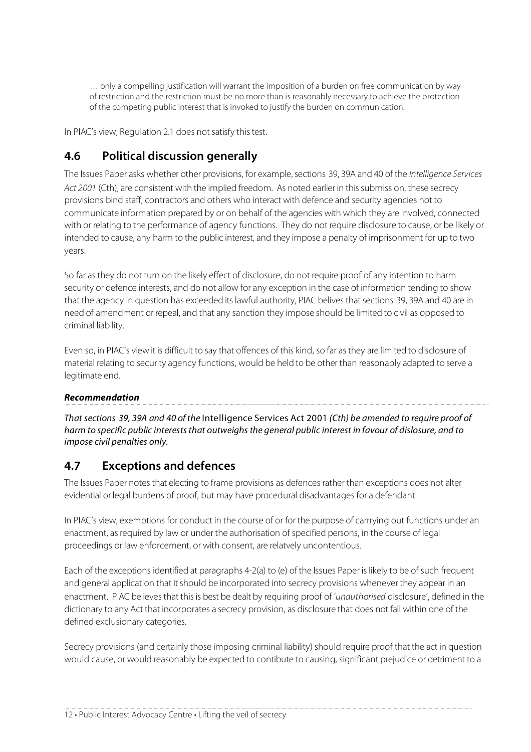… only a compelling justification will warrant the imposition of a burden on free communication by way of restriction and the restriction must be no more than is reasonably necessary to achieve the protection of the competing public interest that is invoked to justify the burden on communication.

In PIAC's view, Regulation 2.1 does not satisfy this test.

#### **4.6 Political discussion generally**

The Issues Paper asks whether other provisions, for example, sections 39, 39A and 40 of the Intelligence Services Act 2001 (Cth), are consistent with the implied freedom. As noted earlier in this submission, these secrecy provisions bind staff, contractors and others who interact with defence and security agencies not to communicate information prepared by or on behalf of the agencies with which they are involved, connected with or relating to the performance of agency functions. They do not require disclosure to cause, or be likely or intended to cause, any harm to the public interest, and they impose a penalty of imprisonment for up to two years.

So far asthey do not turn on the likely effect of disclosure, do not require proof of any intention to harm security or defence interests, and do not allow for any exception in the case of information tending to show that the agency in question has exceeded its lawful authority. PIAC belives that sections 39, 39A and 40 are in need of amendment or repeal, and that any sanction they impose should be limited to civil as opposed to criminal liability.

Even so, in PIAC's view it is difficult to say that offences of this kind, so far asthey are limited to disclosure of material relating to security agency functions, would be held to be other than reasonably adapted to serve a legitimate end.

#### **Recommendation**

That sections 39, 39A and 40 of the Intelligence Services Act 2001 (Cth) be amended to require proof of harm to specific public interests that outweighs the general public interest in favour of dislosure, and to impose civil penalties only.

#### **4.7 Exceptions and defences**

The Issues Paper notes that electing to frame provisions as defences rather than exceptions does not alter evidential or legal burdens of proof, but may have procedural disadvantages for a defendant.

In PIAC's view, exemptions for conduct in the course of or for the purpose of carrrying out functions under an enactment, as required by law or under the authorisation of specified persons, in the course of legal proceedings or law enforcement, or with consent, are relatvely uncontentious.

Each of the exceptions identified at paragraphs 4-2(a) to (e) of the Issues Paper is likely to be of such frequent and general application that it should be incorporated into secrecy provisions whenever they appear in an enactment. PIAC believes that this is best be dealt by requiring proof of 'unauthorised disclosure', defined in the dictionary to any Act that incorporates a secrecy provision, as disclosure that does not fall within one of the defined exclusionary categories.

Secrecy provisions (and certainly those imposing criminal liability) should require proof that the act in question would cause, or would reasonably be expected to contibute to causing, significant prejudice or detriment to a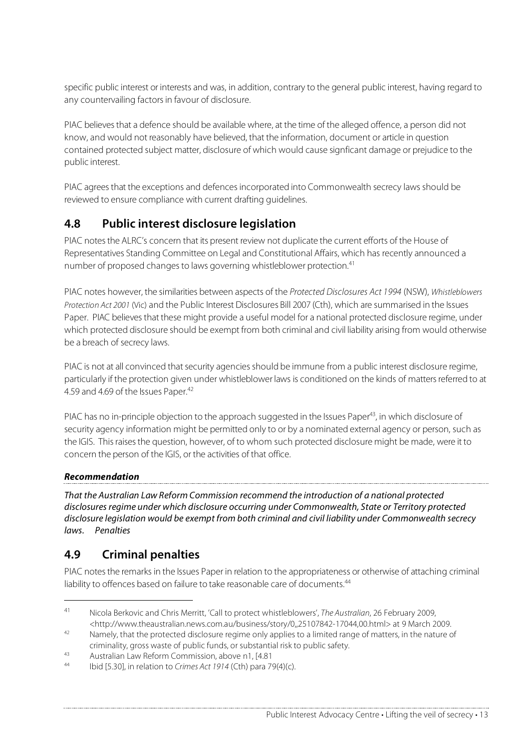specific public interest or interests and was, in addition, contrary to the general public interest, having regard to any countervailing factors in favour of disclosure.

PIAC believes that a defence should be available where, at the time of the alleged offence, a person did not know, and would not reasonably have believed, that the information, document or article in question contained protected subject matter, disclosure of which would cause signficant damage or prejudice to the public interest.

PIAC agrees that the exceptions and defences incorporated into Commonwealth secrecy laws should be reviewed to ensure compliance with current drafting guidelines.

### **4.8 Public interest disclosure legislation**

PIAC notes the ALRC's concern that its present review not duplicate the current efforts of the House of Representatives Standing Committee on Legal and Constitutional Affairs, which has recently announced a number of proposed changes to laws governing whistleblower protection.<sup>41</sup>

PIAC notes however, the similarities between aspects of the Protected Disclosures Act 1994 (NSW), Whistleblowers Protection Act 2001 (Vic) and the Public Interest Disclosures Bill 2007 (Cth), which are summarised in the Issues Paper. PIAC believes that these might provide a useful model for a national protected disclosure regime, under which protected disclosure should be exempt from both criminal and civil liability arising from would otherwise be a breach of secrecy laws.

PIAC is not at all convinced that security agencies should be immune from a public interest disclosure regime, particularly if the protection given under whistleblower laws is conditioned on the kinds of matters referred to at 4.59 and 4.69 of the Issues Paper.<sup>42</sup>

PIAC has no in-principle objection to the approach suggested in the Issues Paper<sup>43</sup>, in which disclosure of security agency information might be permitted only to or by a nominated external agency or person, such as the IGIS. Thisraisesthe question, however, of to whom such protected disclosure might be made, were it to concern the person of the IGIS, or the activities of that office.

#### **Recommendation**

That the Australian Law Reform Commission recommend the introduction of a national protected disclosures regime under which disclosure occurring under Commonwealth, State or Territory protected disclosure legislation would be exempt from both criminal and civil liability under Commonwealth secrecy laws. Penalties

### **4.9 Criminal penalties**

PIAC notes the remarks in the Issues Paper in relation to the appropriateness or otherwise of attaching criminal liability to offences based on failure to take reasonable care of documents.<sup>44</sup>

 <sup>41</sup> Nicola Berkovic and Chris Merritt, 'Call to protect whistleblowers', The Australian, 26 February 2009, <http://www.theaustralian.news.com.au/business/story/0,,25107842-17044,00.html> at 9 March 2009.

<sup>&</sup>lt;sup>42</sup> Namely, that the protected disclosure regime only applies to a limited range of matters, in the nature of criminality, gross waste of public funds, or substantial risk to public safety.

<sup>43</sup> Australian Law Reform Commission, above n1, [4.81]

Ibid [5.30], in relation to Crimes Act 1914 (Cth) para 79(4)(c).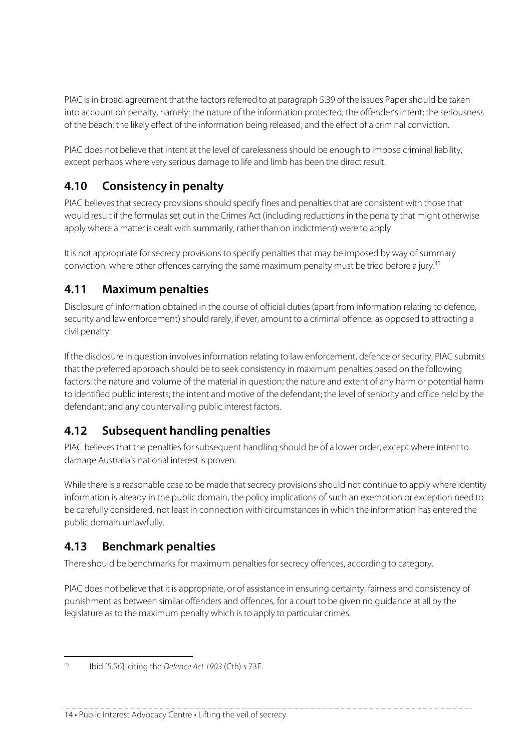PIAC is in broad agreement that the factors referred to at paragraph 5.39 of the Issues Paper should be taken into account on penalty, namely: the nature of the information protected; the offender's intent; the seriousness of the beach; the likely effect of the information being released; and the effect of a criminal conviction.

PIAC does not believe that intent at the level of carelessness should be enough to impose criminal liability, except perhaps where very serious damage to life and limb has been the direct result.

### **4.10 Consistency in penalty**

PIAC believes that secrecy provisions should specify fines and penalties that are consistent with those that would result if the formulas set out in the Crimes Act (including reductions in the penalty that might otherwise apply where a matter is dealt with summarily, rather than on indictment) were to apply.

It is not appropriate for secrecy provisions to specify penalties that may be imposed by way of summary conviction, where other offences carrying the same maximum penalty must be tried before a jury. 45

#### **4.11 Maximum penalties**

Disclosure of information obtained in the course of official duties (apart from information relating to defence, security and law enforcement) should rarely, if ever, amount to a criminal offence, as opposed to attracting a civil penalty.

If the disclosure in question involves information relating to law enforcement, defence or security, PIAC submits that the preferred approach should be to seek consistency in maximum penalties based on the following factors: the nature and volume of the material in question; the nature and extent of any harm or potential harm to identified public interests; the intent and motive of the defendant; the level of seniority and office held by the defendant; and any countervailing public interest factors.

### **4.12 Subsequent handling penalties**

PIAC believes that the penalties for subsequent handling should be of a lower order, except where intent to damage Australia's national interest is proven.

While there is a reasonable case to be made that secrecy provisions should not continue to apply where identity information is already in the public domain, the policy implications of such an exemption or exception need to be carefully considered, not least in connection with circumstancesin which the information has entered the public domain unlawfully.

### **4.13 Benchmark penalties**

There should be benchmarks for maximum penalties for secrecy offences, according to category.

PIAC does not believe that it is appropriate, or of assistance in ensuring certainty, fairness and consistency of punishment as between similar offenders and offences, for a court to be given no guidance at all by the legislature as to the maximum penalty which is to apply to particular crimes.

 <sup>45</sup> Ibid [5.56], citing the Defence Act <sup>1903</sup> (Cth) <sup>s</sup> 73F.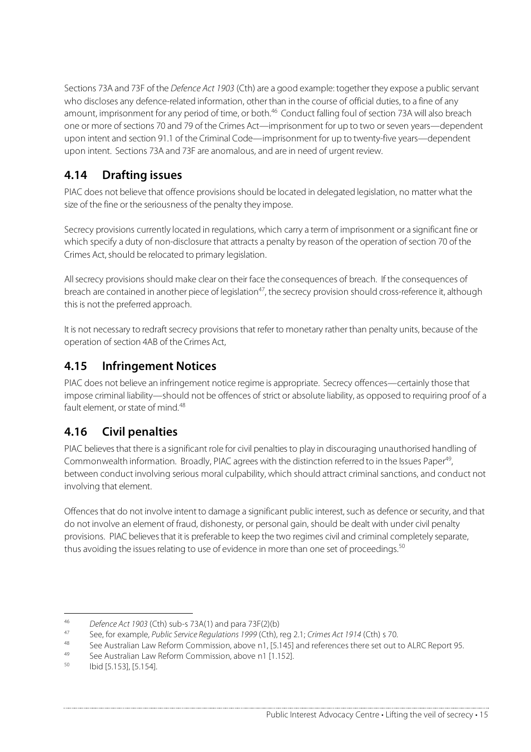Sections 73A and 73F of the Defence Act 1903 (Cth) are a good example: together they expose a public servant who discloses any defence-related information, other than in the course of official duties, to a fine of any amount, imprisonment for any period of time, or both. <sup>46</sup> Conduct falling foul of section 73A will also breach one or more of sections 70 and 79 of the Crimes Act—imprisonment for up to two or seven years—dependent upon intent and section 91.1 of the Criminal Code—imprisonment for up to twenty-five years—dependent upon intent. Sections 73A and 73F are anomalous, and are in need of urgent review.

## **4.14 Drafting issues**

PIAC does not believe that offence provisions should be located in delegated legislation, no matter what the size of the fine or the seriousness of the penalty they impose.

Secrecy provisions currently located in regulations, which carry a term of imprisonment or a significant fine or which specify a duty of non-disclosure that attracts a penalty by reason of the operation of section 70 of the Crimes Act, should be relocated to primary legislation.

Allsecrecy provisions should make clear on their face the consequences of breach. If the consequences of breach are contained in another piece of legislation<sup>47</sup>, the secrecy provision should cross-reference it, although this is not the preferred approach.

It is not necessary to redraft secrecy provisions that refer to monetary rather than penalty units, because of the operation of section 4AB of the Crimes Act,

#### **4.15 Infringement Notices**

PIAC does not believe an infringement notice regime is appropriate. Secrecy offences—certainly those that impose criminal liability—should not be offences of strict or absolute liability, as opposed to requiring proof of a fault element, or state of mind.<sup>48</sup>

### **4.16 Civil penalties**

PIAC believes that there is a significant role for civil penalties to play in discouraging unauthorised handling of Commonwealth information. Broadly, PIAC agrees with the distinction referred to in the Issues Paper<sup>49</sup> , between conduct involving serious moral culpability, which should attract criminal sanctions, and conduct not involving that element.

Offences that do not involve intent to damage a significant public interest, such as defence or security, and that do not involve an element of fraud, dishonesty, or personal gain, should be dealt with under civil penalty provisions. PIAC believesthat it is preferable to keep the two regimes civil and criminal completely separate, thus avoiding the issues relating to use of evidence in more than one set of proceedings.<sup>50</sup>

<sup>&</sup>lt;sup>46</sup> Defence Act 1903 (Cth) sub-s 73A(1) and para 73F(2)(b)

<sup>&</sup>lt;sup>47</sup> See, for example, *Public Service Regulations 1999* (Cth), reg 2.1; Crimes Act 1914 (Cth) s 70.

<sup>48</sup> See Australian Law Reform Commission, above n1, [5.145] and references there set out to ALRC Report 95.

<sup>&</sup>lt;sup>49</sup> See Australian Law Reform Commission, above n1 [1.152].

<sup>50</sup> Ibid [5.153], [5.154].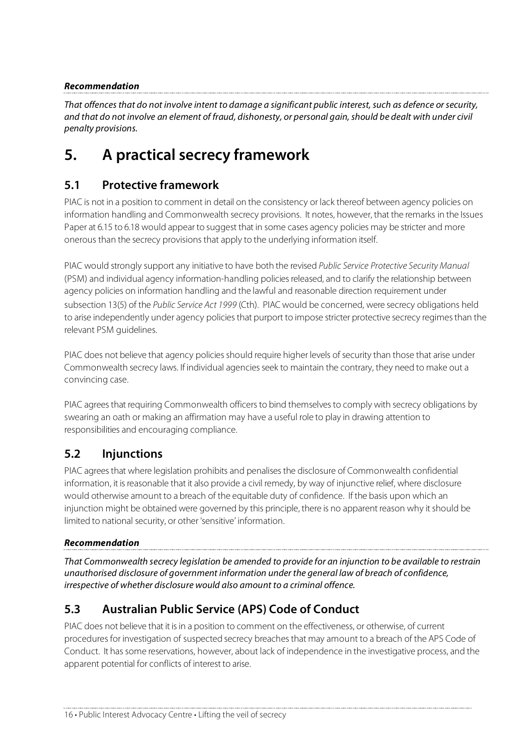#### **Recommendation**

That offences that do not involve intent to damage a significant public interest, such as defence or security, and that do not involve an element of fraud, dishonesty, or personal gain, should be dealt with under civil penalty provisions.

## **5. A practical secrecy framework**

#### **5.1 Protective framework**

PIAC is not in a position to comment in detail on the consistency or lack thereof between agency policies on information handling and Commonwealth secrecy provisions. It notes, however, that the remarks in the Issues Paper at 6.15 to 6.18 would appear to suggest that in some cases agency policies may be stricter and more onerous than the secrecy provisions that apply to the underlying information itself.

PIAC would strongly support any initiative to have both the revised Public Service Protective Security Manual (PSM) and individual agency information-handling policiesreleased, and to clarify the relationship between agency policies on information handling and the lawful and reasonable direction requirement under subsection 13(5) of the Public Service Act 1999 (Cth). PIAC would be concerned, were secrecy obligations held to arise independently under agency policies that purport to impose stricter protective secrecy regimes than the relevant PSM guidelines.

PIAC does not believe that agency policies should require higher levels of security than those that arise under Commonwealth secrecy laws. If individual agenciesseek to maintain the contrary, they need to make out a convincing case.

PIAC agrees that requiring Commonwealth officers to bind themselves to comply with secrecy obligations by swearing an oath or making an affirmation may have a useful role to play in drawing attention to responsibilities and encouraging compliance.

#### **5.2 Injunctions**

PIAC agreesthat where legislation prohibits and penalisesthe disclosure of Commonwealth confidential information, it is reasonable that it also provide a civil remedy, by way of injunctive relief, where disclosure would otherwise amount to a breach of the equitable duty of confidence. If the basis upon which an injunction might be obtained were governed by this principle, there is no apparent reason why it should be limited to national security, or other 'sensitive' information.

#### **Recommendation**

That Commonwealth secrecy legislation be amended to provide for an injunction to be available to restrain unauthorised disclosure of government information under the general law of breach of confidence, irrespective of whether disclosure would also amount to a criminal offence.

### **5.3 Australian Public Service (APS) Code of Conduct**

PIAC does not believe that it isin a position to comment on the effectiveness, or otherwise, of current procedures for investigation of suspected secrecy breachesthat may amount to a breach of the APS Code of Conduct. It has some reservations, however, about lack of independence in the investigative process, and the apparent potential for conflicts of interest to arise.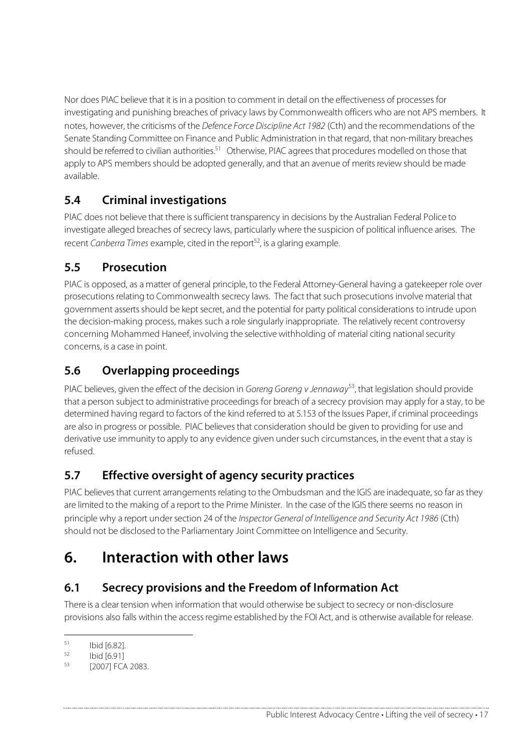Nor does PIAC believe that it isin a position to comment in detail on the effectiveness of processes for investigating and punishing breaches of privacy laws by Commonwealth officers who are not APS members. It notes, however, the criticisms of the Defence Force Discipline Act 1982 (Cth) and the recommendations of the Senate Standing Committee on Finance and Public Administration in that regard, that non-military breaches should be referred to civilian authorities.<sup>51</sup> Otherwise, PIAC agrees that procedures modelled on those that apply to APS members should be adopted generally, and that an avenue of merits review should be made available.

### **5.4 Criminal investigations**

PIAC does not believe that there is sufficient transparency in decisions by the Australian Federal Police to investigate alleged breaches of secrecy laws, particularly where the suspicion of political influence arises. The recent Canberra Times example, cited in the report<sup>52</sup>, is a glaring example.

## **5.5 Prosecution**

PIAC is opposed, as a matter of general principle, to the Federal Attorney-General having a gatekeeper role over prosecutions relating to Commonwealth secrecy laws. The fact that such prosecutions involve material that government asserts should be kept secret, and the potential for party political considerations to intrude upon the decision-making process, makes such a role singularly inappropriate. The relatively recent controversy concerning Mohammed Haneef, involving the selective withholding of material citing national security concerns, is a case in point.

## **5.6 Overlapping proceedings**

PIAC believes, given the effect of the decision in Goreng Goreng v Jennaway<sup>53</sup>, that legislation should provide that a person subject to administrative proceedings for breach of a secrecy provision may apply for a stay, to be determined having regard to factors of the kind referred to at 5.153 of the Issues Paper, if criminal proceedings are also in progress or possible. PIAC believes that consideration should be given to providing for use and derivative use immunity to apply to any evidence given undersuch circumstances, in the event that a stay is refused.

## **5.7 Effective oversight of agency security practices**

PIAC believes that current arrangements relating to the Ombudsman and the IGIS are inadequate, so far as they are limited to the making of a report to the Prime Minister. In the case of the IGIS there seems no reason in principle why a report under section 24 of the *Inspector General of Intelligence and Security Act 1986* (Cth) should not be disclosed to the Parliamentary Joint Committee on Intelligence and Security.

## **6. Interaction with other laws**

### **6.1 Secrecy provisions and the Freedom of Information Act**

There is a clear tension when information that would otherwise be subject to secrecy or non-disclosure provisions also falls within the access regime established by the FOI Act, and is otherwise available for release.

 $\frac{51}{52}$  Ibid [6.82].

 $\frac{52}{53}$  Ibid [6.91]

<sup>[2007]</sup> FCA 2083.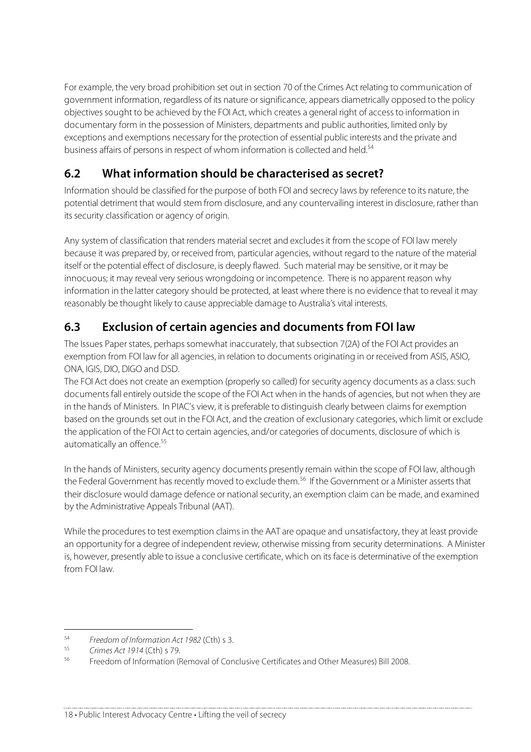For example, the very broad prohibition set out in section 70 of the Crimes Act relating to communication of government information, regardless of its nature orsignificance, appears diametrically opposed to the policy objectives sought to be achieved by the FOI Act, which creates a general right of access to information in documentary form in the possession of Ministers, departments and public authorities, limited only by exceptions and exemptions necessary for the protection of essential public interests and the private and business affairs of persons in respect of whom information is collected and held.<sup>54</sup>

## **6.2 What information should be characterised as secret?**

Information should be classified for the purpose of both FOI and secrecy laws by reference to its nature, the potential detriment that would stem from disclosure, and any countervailing interest in disclosure, rather than its security classification or agency of origin.

Any system of classification that renders material secret and excludes it from the scope of FOI law merely because it was prepared by, or received from, particular agencies, without regard to the nature of the material itself or the potential effect of disclosure, is deeply flawed. Such material may be sensitive, or it may be innocuous; it may reveal very serious wrongdoing or incompetence. There is no apparent reason why information in the latter category should be protected, at least where there is no evidence that to reveal it may reasonably be thought likely to cause appreciable damage to Australia's vital interests.

### **6.3 Exclusion of certain agencies and documents from FOI law**

The Issues Paper states, perhaps somewhat inaccurately, that subsection 7(2A) of the FOI Act provides an exemption from FOI law for all agencies, in relation to documents originating in or received from ASIS, ASIO, ONA, IGIS, DIO, DIGO and DSD.

The FOI Act does not create an exemption (properly so called) for security agency documents as a class: such documents fall entirely outside the scope of the FOI Act when in the hands of agencies, but not when they are in the hands of Ministers. In PIAC's view, it is preferable to distinguish clearly between claims for exemption based on the grounds set out in the FOI Act, and the creation of exclusionary categories, which limit or exclude the application of the FOI Act to certain agencies, and/or categories of documents, disclosure of which is automatically an offence.<sup>55</sup>

In the hands of Ministers, security agency documents presently remain within the scope of FOI law, although the Federal Government has recently moved to exclude them.<sup>56</sup> If the Government or a Minister asserts that their disclosure would damage defence or national security, an exemption claim can be made, and examined by the Administrative Appeals Tribunal (AAT).

While the procedures to test exemption claims in the AAT are opaque and unsatisfactory, they at least provide an opportunity for a degree of independent review, otherwise missing from security determinations. A Minister is, however, presently able to issue a conclusive certificate, which on its face is determinative of the exemption from FOI law.

<sup>&</sup>lt;sup>54</sup> Freedom of Information Act 1982 (Cth) s 3.

 $55$  Crimes Act 1914 (Cth) s 79.

<sup>56</sup> Freedom of Information (Removal of Conclusive Certificates and Other Measures) Bill 2008.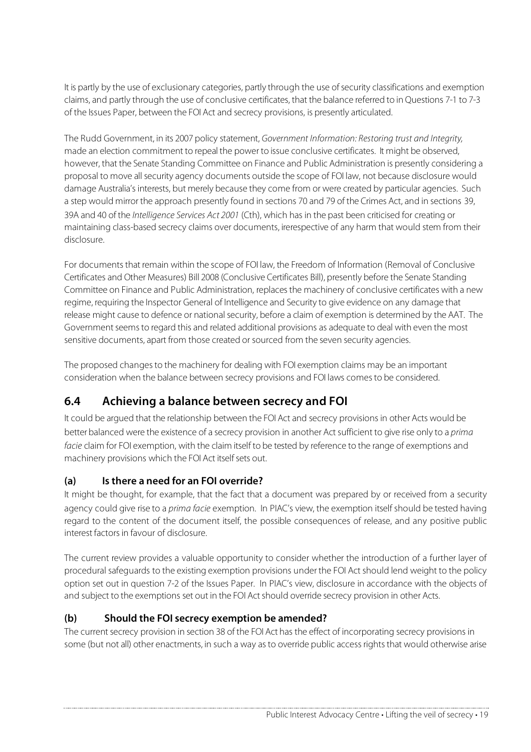It is partly by the use of exclusionary categories, partly through the use of security classifications and exemption claims, and partly through the use of conclusive certificates, that the balance referred to in Questions 7-1 to 7-3 of the Issues Paper, between the FOI Act and secrecy provisions, is presently articulated.

The Rudd Government, in its 2007 policy statement, Government Information: Restoring trust and Integrity, made an election commitment to repeal the power to issue conclusive certificates. It might be observed, however, that the Senate Standing Committee on Finance and Public Administration is presently considering a proposal to move all security agency documents outside the scope of FOI law, not because disclosure would damage Australia's interests, but merely because they come from or were created by particular agencies. Such a step would mirror the approach presently found in sections 70 and 79 of the Crimes Act, and in sections 39, 39A and 40 of the *Intelligence Services Act 2001* (Cth), which has in the past been criticised for creating or maintaining class-based secrecy claims over documents, irerespective of any harm that would stem from their disclosure.

For documents that remain within the scope of FOI law, the Freedom of Information (Removal of Conclusive Certificates and Other Measures) Bill 2008 (Conclusive Certificates Bill), presently before the Senate Standing Committee on Finance and Public Administration, replaces the machinery of conclusive certificates with a new regime, requiring the Inspector General of Intelligence and Security to give evidence on any damage that release might cause to defence or national security, before a claim of exemption is determined by the AAT. The Government seems to regard this and related additional provisions as adequate to deal with even the most sensitive documents, apart from those created or sourced from the seven security agencies.

The proposed changes to the machinery for dealing with FOI exemption claims may be an important consideration when the balance between secrecy provisions and FOI laws comesto be considered.

### **6.4 Achieving a balance between secrecy and FOI**

It could be argued that the relationship between the FOI Act and secrecy provisions in other Acts would be better balanced were the existence of a secrecy provision in another Act sufficient to give rise only to a prima facie claim for FOI exemption, with the claim itself to be tested by reference to the range of exemptions and machinery provisions which the FOI Act itself sets out.

#### **(a) Is there a need for an FOI override?**

It might be thought, for example, that the fact that a document was prepared by or received from a security agency could give rise to a prima facie exemption. In PIAC's view, the exemption itself should be tested having regard to the content of the document itself, the possible consequences of release, and any positive public interest factors in favour of disclosure.

The current review provides a valuable opportunity to consider whether the introduction of a further layer of procedural safeguards to the existing exemption provisions under the FOI Act should lend weight to the policy option set out in question 7-2 of the Issues Paper. In PIAC's view, disclosure in accordance with the objects of and subject to the exemptions set out in the FOI Act should override secrecy provision in other Acts.

#### **(b) Should the FOI secrecy exemption be amended?**

The current secrecy provision in section 38 of the FOI Act has the effect of incorporating secrecy provisions in some (but not all) other enactments, in such a way as to override public access rights that would otherwise arise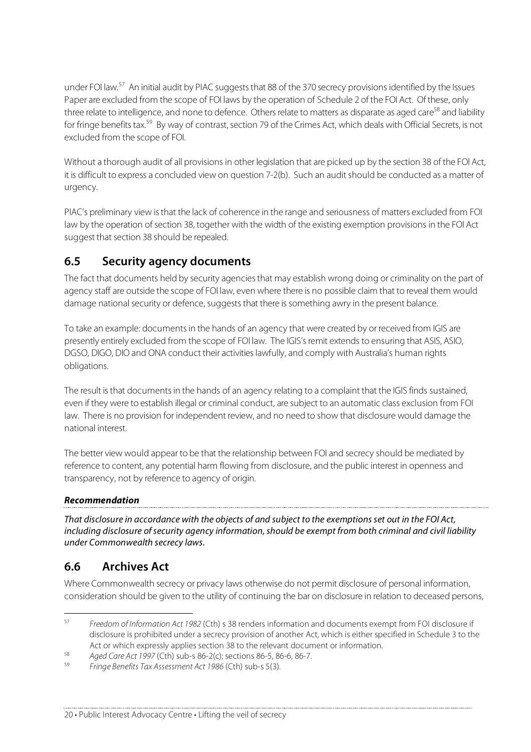under FOI law.<sup>57</sup> An initial audit by PIAC suggests that 88 of the 370 secrecy provisions identified by the Issues Paper are excluded from the scope of FOI laws by the operation of Schedule 2 of the FOI Act. Of these, only three relate to intelligence, and none to defence. Others relate to matters as disparate as aged care<sup>58</sup> and liability for fringe benefits tax.<sup>59</sup> By way of contrast, section 79 of the Crimes Act, which deals with Official Secrets, is not excluded from the scope of FOI.

Without a thorough audit of all provisions in other legislation that are picked up by the section 38 of the FOI Act, it is difficult to express a concluded view on question 7-2(b). Such an audit should be conducted as a matter of urgency.

PIAC's preliminary view isthat the lack of coherence in the range and seriousness of matters excluded from FOI law by the operation of section 38, together with the width of the existing exemption provisions in the FOI Act suggest that section 38 should be repealed.

### **6.5 Security agency documents**

The fact that documents held by security agenciesthat may establish wrong doing or criminality on the part of agency staff are outside the scope of FOI law, even where there is no possible claim that to reveal them would damage national security or defence, suggeststhat there is something awry in the present balance.

To take an example: documentsin the hands of an agency that were created by or received from IGIS are presently entirely excluded from the scope of FOI law. The IGIS's remit extends to ensuring that ASIS, ASIO, DGSO, DIGO, DIO and ONA conduct their activities lawfully, and comply with Australia's human rights obligations.

The result isthat documentsin the hands of an agency relating to a complaint that the IGIS finds sustained, even if they were to establish illegal or criminal conduct, are subject to an automatic class exclusion from FOI law. There is no provision for independent review, and no need to show that disclosure would damage the national interest.

The better view would appear to be that the relationship between FOI and secrecy should be mediated by reference to content, any potential harm flowing from disclosure, and the public interest in openness and transparency, not by reference to agency of origin.

#### **Recommendation**

That disclosure in accordance with the objects of and subject to the exemptionsset out in the FOI Act, including disclosure of security agency information, should be exempt from both criminal and civil liability under Commonwealth secrecy laws.

#### **6.6 Archives Act**

Where Commonwealth secrecy or privacy laws otherwise do not permit disclosure of personal information, consideration should be given to the utility of continuing the bar on disclosure in relation to deceased persons,

 <sup>57</sup> Freedom of Information Act <sup>1982</sup> (Cth) <sup>s</sup> 38 renders information and documents exempt from FOI disclosure if disclosure is prohibited under a secrecy provision of another Act, which is either specified in Schedule 3 to the Act or which expressly applies section 38 to the relevant document or information.

<sup>&</sup>lt;sup>58</sup> Aged Care Act 1997 (Cth) sub-s 86-2(c); sections 86-5, 86-6, 86-7.

Fringe Benefits Tax Assessment Act 1986 (Cth) sub-s 5(3).